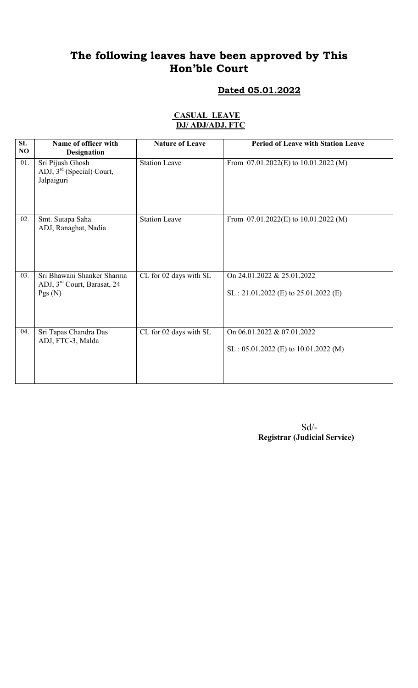### Dated 05.01.2022

#### CASUAL LEAVE DJ/ ADJ/ADJ, FTC

| SL<br>NO | Name of officer with<br><b>Designation</b>                                      | <b>Nature of Leave</b> | <b>Period of Leave with Station Leave</b>                             |
|----------|---------------------------------------------------------------------------------|------------------------|-----------------------------------------------------------------------|
| 01.      | Sri Pijush Ghosh<br>ADJ, $3rd$ (Special) Court,<br>Jalpaiguri                   | <b>Station Leave</b>   | From $07.01.2022(E)$ to $10.01.2022(M)$                               |
| 02.      | Smt. Sutapa Saha<br>ADJ, Ranaghat, Nadia                                        | <b>Station Leave</b>   | From $07.01.2022(E)$ to $10.01.2022(M)$                               |
| 03.      | Sri Bhawani Shanker Sharma<br>ADJ, 3 <sup>rd</sup> Court, Barasat, 24<br>Pgs(N) | CL for 02 days with SL | On 24.01.2022 & 25.01.2022<br>$SL: 21.01.2022$ (E) to 25.01.2022 (E)  |
| 04.      | Sri Tapas Chandra Das<br>ADJ, FTC-3, Malda                                      | CL for 02 days with SL | On 06.01.2022 & 07.01.2022<br>$SL : 05.01.2022 (E)$ to 10.01.2022 (M) |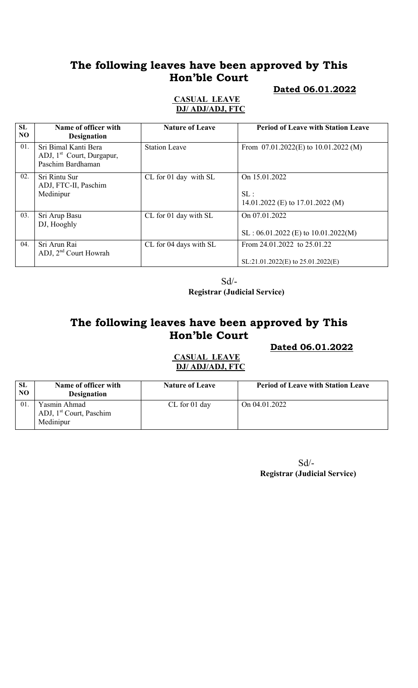### Dated 06.01.2022

#### CASUAL LEAVE DJ/ ADJ/ADJ, FTC

| SL<br>NO. | Name of officer with<br><b>Designation</b>                                         | <b>Nature of Leave</b> | <b>Period of Leave with Station Leave</b>                            |
|-----------|------------------------------------------------------------------------------------|------------------------|----------------------------------------------------------------------|
| 01.       | Sri Bimal Kanti Bera<br>ADJ, 1 <sup>st</sup> Court, Durgapur,<br>Paschim Bardhaman | <b>Station Leave</b>   | From $07.01.2022(E)$ to $10.01.2022(M)$                              |
| 02.       | Sri Rintu Sur<br>ADJ, FTC-II, Paschim<br>Medinipur                                 | CL for 01 day with SL  | On 15.01.2022<br>SL:<br>14.01.2022 (E) to 17.01.2022 (M)             |
| 03.       | Sri Arup Basu<br>DJ, Hooghly                                                       | CL for 01 day with SL  | On 07.01.2022<br>$SL : 06.01.2022$ (E) to $10.01.2022(M)$            |
| 04.       | Sri Arun Rai<br>ADJ, $2nd$ Court Howrah                                            | CL for 04 days with SL | From 24.01.2022 to 25.01.22<br>$SL:21.01.2022(E)$ to $25.01.2022(E)$ |

Sd/-

Registrar (Judicial Service)

# The following leaves have been approved by This Hon'ble Court

Dated 06.01.2022

### CASUAL LEAVE DJ/ ADJ/ADJ, FTC

| <b>SL</b><br>NO | Name of officer with<br><b>Designation</b>                       | <b>Nature of Leave</b> | <b>Period of Leave with Station Leave</b> |
|-----------------|------------------------------------------------------------------|------------------------|-------------------------------------------|
| 01              | Yasmin Ahmad<br>ADJ, 1 <sup>st</sup> Court, Paschim<br>Medinipur | $CL$ for 01 day        | On 04.01.2022                             |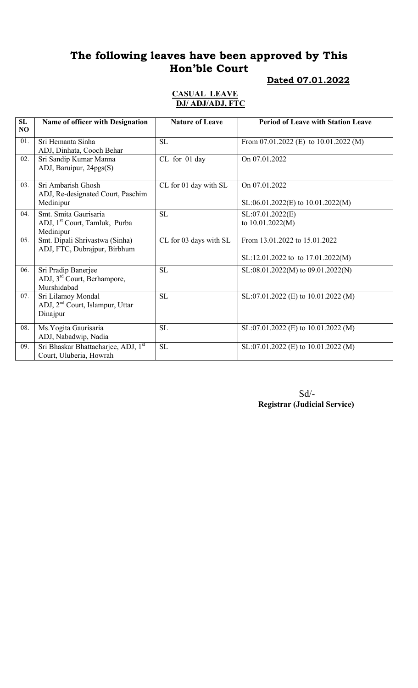# Dated 07.01.2022

#### CASUAL LEAVE DJ/ ADJ/ADJ, FTC

| SL<br>NO | Name of officer with Designation                                                | <b>Nature of Leave</b> | <b>Period of Leave with Station Leave</b>                            |
|----------|---------------------------------------------------------------------------------|------------------------|----------------------------------------------------------------------|
| 01.      | Sri Hemanta Sinha<br>ADJ, Dinhata, Cooch Behar                                  | SL                     | From $07.01.2022$ (E) to $10.01.2022$ (M)                            |
| 02.      | Sri Sandip Kumar Manna<br>ADJ, Baruipur, 24pgs(S)                               | CL for 01 day          | On 07.01.2022                                                        |
| 03.      | Sri Ambarish Ghosh<br>ADJ, Re-designated Court, Paschim<br>Medinipur            | CL for 01 day with SL  | On 07.01.2022<br>$SL:06.01.2022(E)$ to $10.01.2022(M)$               |
| 04.      | Smt. Smita Gaurisaria<br>ADJ, 1 <sup>st</sup> Court, Tamluk, Purba<br>Medinipur | <b>SL</b>              | SL:07.01.2022(E)<br>to 10.01.2022(M)                                 |
| 05.      | Smt. Dipali Shrivastwa (Sinha)<br>ADJ, FTC, Dubrajpur, Birbhum                  | CL for 03 days with SL | From 13.01.2022 to 15.01.2022<br>$SL:12.01.2022$ to to 17.01.2022(M) |
| 06.      | Sri Pradip Banerjee<br>ADJ, 3 <sup>rd</sup> Court, Berhampore,<br>Murshidabad   | <b>SL</b>              | $SL:08.01.2022(M)$ to $09.01.2022(N)$                                |
| 07.      | Sri Lilamoy Mondal<br>ADJ, 2 <sup>nd</sup> Court, Islampur, Uttar<br>Dinajpur   | <b>SL</b>              | SL:07.01.2022 (E) to 10.01.2022 (M)                                  |
| 08.      | Ms. Yogita Gaurisaria<br>ADJ, Nabadwip, Nadia                                   | <b>SL</b>              | SL:07.01.2022 (E) to 10.01.2022 (M)                                  |
| 09.      | Sri Bhaskar Bhattacharjee, ADJ, 1st<br>Court, Uluberia, Howrah                  | <b>SL</b>              | SL:07.01.2022 (E) to 10.01.2022 (M)                                  |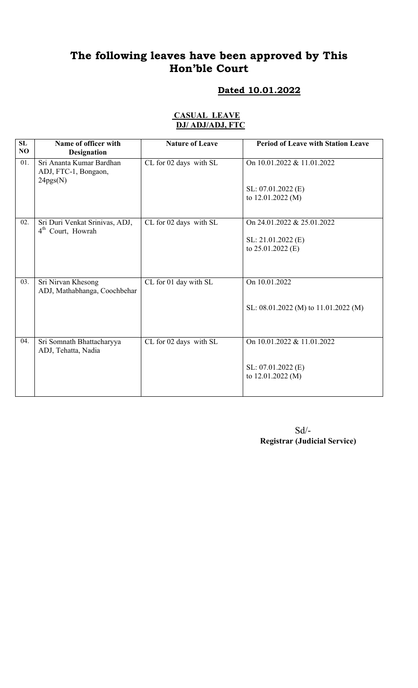# Dated 10.01.2022

#### CASUAL LEAVE DJ/ ADJ/ADJ, FTC

| SL<br>NO | Name of officer with<br><b>Designation</b>                      | <b>Nature of Leave</b> | <b>Period of Leave with Station Leave</b>                               |
|----------|-----------------------------------------------------------------|------------------------|-------------------------------------------------------------------------|
| 01.      | Sri Ananta Kumar Bardhan<br>ADJ, FTC-1, Bongaon,<br>24pgs(N)    | CL for 02 days with SL | On 10.01.2022 & 11.01.2022<br>SL: 07.01.2022 (E)<br>to 12.01.2022 (M)   |
| 02.      | Sri Duri Venkat Srinivas, ADJ,<br>4 <sup>th</sup> Court, Howrah | CL for 02 days with SL | On 24.01.2022 & 25.01.2022<br>SL: 21.01.2022 (E)<br>to $25.01.2022$ (E) |
| 03.      | Sri Nirvan Khesong<br>ADJ, Mathabhanga, Coochbehar              | CL for 01 day with SL  | On 10.01.2022<br>SL: 08.01.2022 (M) to 11.01.2022 (M)                   |
| 04.      | Sri Somnath Bhattacharyya<br>ADJ, Tehatta, Nadia                | CL for 02 days with SL | On 10.01.2022 & 11.01.2022<br>SL: 07.01.2022 (E)<br>to 12.01.2022 (M)   |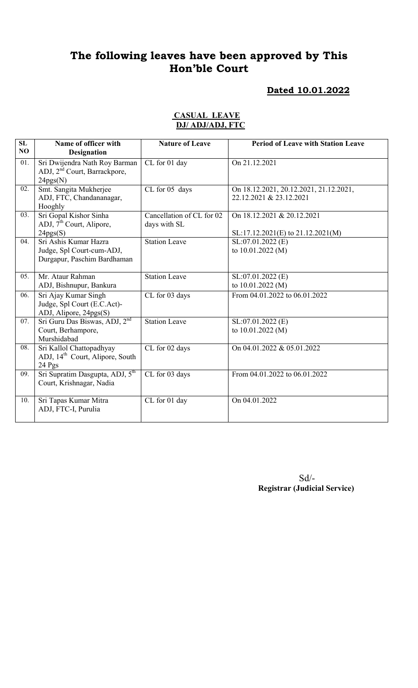#### Dated 10.01.2022

#### CASUAL LEAVE DJ/ ADJ/ADJ, FTC

| SL<br>NO          | Name of officer with<br><b>Designation</b>                                            | <b>Nature of Leave</b>                                        | <b>Period of Leave with Station Leave</b>                         |
|-------------------|---------------------------------------------------------------------------------------|---------------------------------------------------------------|-------------------------------------------------------------------|
| $\overline{01}$ . | Sri Dwijendra Nath Roy Barman<br>ADJ, 2 <sup>nd</sup> Court, Barrackpore,<br>24pgs(N) | CL for 01 day                                                 | On 21.12.2021                                                     |
| $02$ .            | Smt. Sangita Mukherjee<br>ADJ, FTC, Chandananagar,<br>Hooghly                         | CL for 05 days                                                | On 18.12.2021, 20.12.2021, 21.12.2021,<br>22.12.2021 & 23.12.2021 |
| 03.               | Sri Gopal Kishor Sinha<br>ADJ, $7th$ Court, Alipore,<br>24pgs(S)                      | $\overline{\text{Cancellation}}$ of CL for 02<br>days with SL | On 18.12.2021 & 20.12.2021<br>SL:17.12.2021(E) to 21.12.2021(M)   |
| 04.               | Sri Ashis Kumar Hazra<br>Judge, Spl Court-cum-ADJ,<br>Durgapur, Paschim Bardhaman     | Station Leave                                                 | SL:07.01.2022 (E)<br>to 10.01.2022 (M)                            |
| 0.5 <sub>1</sub>  | Mr. Ataur Rahman<br>ADJ, Bishnupur, Bankura                                           | <b>Station Leave</b>                                          | $SL:07.01.2022$ (E)<br>to 10.01.2022 (M)                          |
| 06.               | Sri Ajay Kumar Singh<br>Judge, Spl Court (E.C.Act)-<br>ADJ, Alipore, 24pgs(S)         | $\overline{\text{CL}}$ for 03 days                            | From 04.01.2022 to 06.01.2022                                     |
| 07.               | Sri Guru Das Biswas, ADJ, 2 <sup>nd</sup><br>Court, Berhampore,<br>Murshidabad        | <b>Station Leave</b>                                          | SL:07.01.2022(E)<br>to $10.01.2022(M)$                            |
| 08.               | Sri Kallol Chattopadhyay<br>ADJ, 14 <sup>th</sup> Court, Alipore, South<br>24 Pgs     | CL for 02 days                                                | On 04.01.2022 & 05.01.2022                                        |
| 09.               | Sri Supratim Dasgupta, ADJ, 5 <sup>th</sup><br>Court, Krishnagar, Nadia               | CL for 03 days                                                | From 04.01.2022 to 06.01.2022                                     |
| 10.               | Sri Tapas Kumar Mitra<br>ADJ, FTC-I, Purulia                                          | CL for 01 day                                                 | On 04.01.2022                                                     |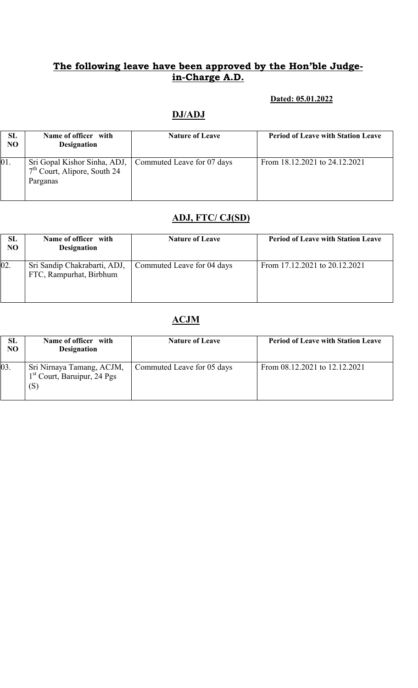#### Dated: 05.01.2022

# DJ/ADJ

| <b>SL</b><br>NO | Name of officer with<br><b>Designation</b>                                                              | <b>Nature of Leave</b> | <b>Period of Leave with Station Leave</b> |
|-----------------|---------------------------------------------------------------------------------------------------------|------------------------|-------------------------------------------|
| 01.             | Sri Gopal Kishor Sinha, ADJ,   Commuted Leave for 07 days<br>$7th$ Court, Alipore, South 24<br>Parganas |                        | From 18.12.2021 to 24.12.2021             |

### ADJ, FTC/ CJ(SD)

| SL<br>N <sub>O</sub> | Name of officer with<br><b>Designation</b>              | <b>Nature of Leave</b>     | <b>Period of Leave with Station Leave</b> |
|----------------------|---------------------------------------------------------|----------------------------|-------------------------------------------|
| 02.                  | Sri Sandip Chakrabarti, ADJ,<br>FTC, Rampurhat, Birbhum | Commuted Leave for 04 days | From 17.12.2021 to 20.12.2021             |

### ACJM

| SL.<br>NO | Name of officer with<br><b>Designation</b>                                  | <b>Nature of Leave</b>     | <b>Period of Leave with Station Leave</b> |
|-----------|-----------------------------------------------------------------------------|----------------------------|-------------------------------------------|
| 03.       | Sri Nirnaya Tamang, ACJM,<br>1 <sup>st</sup> Court, Baruipur, 24 Pgs<br>(S) | Commuted Leave for 05 days | From 08.12.2021 to 12.12.2021             |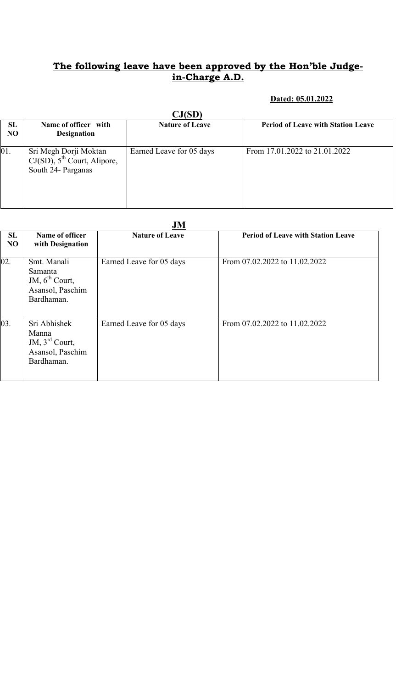### Dated: 05.01.2022

|                             | $\mathbf{C}\mathbf{J}(\mathbf{SD})$                                             |                          |                                           |  |  |
|-----------------------------|---------------------------------------------------------------------------------|--------------------------|-------------------------------------------|--|--|
| <b>SL</b><br>N <sub>O</sub> | Name of officer with<br><b>Designation</b>                                      | <b>Nature of Leave</b>   | <b>Period of Leave with Station Leave</b> |  |  |
| 01.                         | Sri Megh Dorji Moktan<br>$CJ(SD)$ , $5th$ Court, Alipore,<br>South 24- Parganas | Earned Leave for 05 days | From 17.01.2022 to 21.01.2022             |  |  |

|                             | JM                                                                                    |                          |                                           |  |
|-----------------------------|---------------------------------------------------------------------------------------|--------------------------|-------------------------------------------|--|
| <b>SL</b><br>N <sub>O</sub> | Name of officer<br>with Designation                                                   | <b>Nature of Leave</b>   | <b>Period of Leave with Station Leave</b> |  |
| 02.                         | Smt. Manali<br>Samanta<br>JM, $6^{th}$ Court,<br>Asansol, Paschim<br>Bardhaman.       | Earned Leave for 05 days | From 07.02.2022 to 11.02.2022             |  |
| 03.                         | Sri Abhishek<br>Manna<br>JM, $3^{\text{rd}}$ Court,<br>Asansol, Paschim<br>Bardhaman. | Earned Leave for 05 days | From 07.02.2022 to 11.02.2022             |  |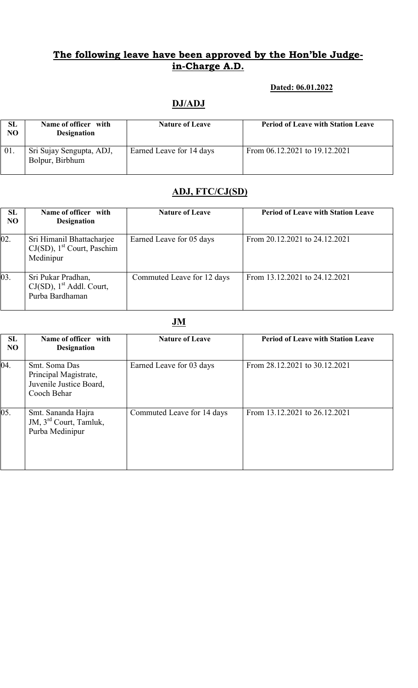#### Dated: 06.01.2022

### DJ/ADJ

| SL<br>N <sub>O</sub> | Name of officer with<br><b>Designation</b>  | <b>Nature of Leave</b>   | <b>Period of Leave with Station Leave</b> |
|----------------------|---------------------------------------------|--------------------------|-------------------------------------------|
| 01.                  | Sri Sujay Sengupta, ADJ,<br>Bolpur, Birbhum | Earned Leave for 14 days | From 06.12.2021 to 19.12.2021             |

### ADJ, FTC/CJ(SD)

| <b>SL</b><br>N <sub>O</sub> | Name of officer with<br><b>Designation</b>                                          | <b>Nature of Leave</b>     | <b>Period of Leave with Station Leave</b> |
|-----------------------------|-------------------------------------------------------------------------------------|----------------------------|-------------------------------------------|
| 02.                         | Sri Himanil Bhattacharjee<br>$CJ(SD)$ , 1 <sup>st</sup> Court, Paschim<br>Medinipur | Earned Leave for 05 days   | From 20.12.2021 to 24.12.2021             |
| 03.                         | Sri Pukar Pradhan,<br>$CJ(SD)$ , 1 <sup>st</sup> Addl. Court,<br>Purba Bardhaman    | Commuted Leave for 12 days | From 13.12.2021 to 24.12.2021             |

### JM

| SL<br>N <sub>O</sub> | Name of officer with<br><b>Designation</b>                                       | <b>Nature of Leave</b>     | <b>Period of Leave with Station Leave</b> |
|----------------------|----------------------------------------------------------------------------------|----------------------------|-------------------------------------------|
| 04.                  | Smt. Soma Das<br>Principal Magistrate,<br>Juvenile Justice Board,<br>Cooch Behar | Earned Leave for 03 days   | From 28.12.2021 to 30.12.2021             |
| 05.                  | Smt. Sananda Hajra<br>JM, 3 <sup>rd</sup> Court, Tamluk,<br>Purba Medinipur      | Commuted Leave for 14 days | From 13.12.2021 to 26.12.2021             |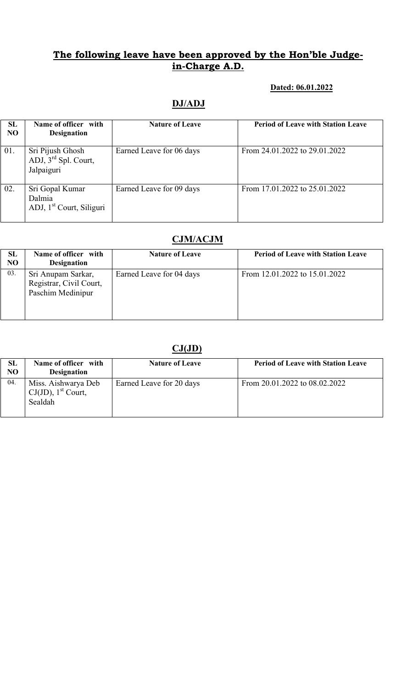### Dated: 06.01.2022

## DJ/ADJ

| <b>SL</b><br>NO | Name of officer with<br><b>Designation</b>                        | <b>Nature of Leave</b>   | <b>Period of Leave with Station Leave</b> |
|-----------------|-------------------------------------------------------------------|--------------------------|-------------------------------------------|
| 01.             | Sri Pijush Ghosh<br>ADJ, $3rd$ Spl. Court,<br>Jalpaiguri          | Earned Leave for 06 days | From 24.01.2022 to 29.01.2022             |
| 02.             | Sri Gopal Kumar<br>Dalmia<br>ADJ, 1 <sup>st</sup> Court, Siliguri | Earned Leave for 09 days | From 17.01.2022 to 25.01.2022             |

# CJM/ACJM

| SL<br>NO | Name of officer with<br><b>Designation</b>                         | <b>Nature of Leave</b>   | <b>Period of Leave with Station Leave</b> |
|----------|--------------------------------------------------------------------|--------------------------|-------------------------------------------|
| 03.      | Sri Anupam Sarkar,<br>Registrar, Civil Court,<br>Paschim Medinipur | Earned Leave for 04 days | From 12.01.2022 to 15.01.2022             |

# $CJ(JD)$

| SL<br>NO | Name of officer with<br><b>Designation</b>                          | <b>Nature of Leave</b>   | <b>Period of Leave with Station Leave</b> |
|----------|---------------------------------------------------------------------|--------------------------|-------------------------------------------|
| 04.      | Miss. Aishwarya Deb<br>$CJ(JD)$ , 1 <sup>st</sup> Court,<br>Sealdah | Earned Leave for 20 days | From 20.01.2022 to 08.02.2022             |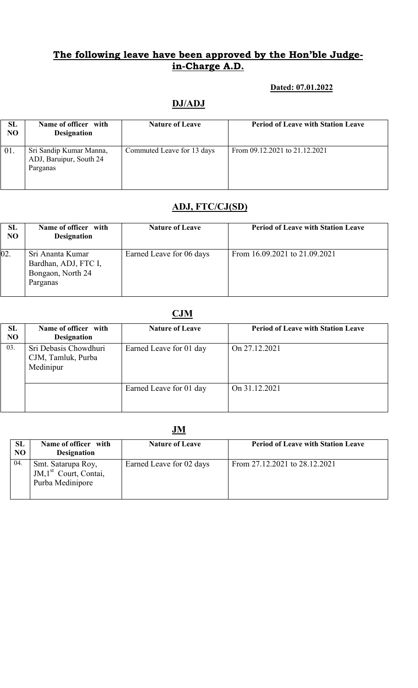#### Dated: 07.01.2022

### DJ/ADJ

| SL<br>NO | Name of officer with<br><b>Designation</b>                     | <b>Nature of Leave</b>     | <b>Period of Leave with Station Leave</b> |
|----------|----------------------------------------------------------------|----------------------------|-------------------------------------------|
| 01.      | Sri Sandip Kumar Manna,<br>ADJ, Baruipur, South 24<br>Parganas | Commuted Leave for 13 days | From 09.12.2021 to 21.12.2021             |

### ADJ, FTC/CJ(SD)

| SL<br>NO | Name of officer with<br><b>Designation</b>                                | <b>Nature of Leave</b>   | <b>Period of Leave with Station Leave</b> |
|----------|---------------------------------------------------------------------------|--------------------------|-------------------------------------------|
| 02.      | Sri Ananta Kumar<br>Bardhan, ADJ, FTC I,<br>Bongaon, North 24<br>Parganas | Earned Leave for 06 days | From 16.09.2021 to 21.09.2021             |

# **CJM**

| SL<br>N <sub>O</sub> | Name of officer with<br><b>Designation</b>               | <b>Nature of Leave</b>  | <b>Period of Leave with Station Leave</b> |
|----------------------|----------------------------------------------------------|-------------------------|-------------------------------------------|
| 03.                  | Sri Debasis Chowdhuri<br>CJM, Tamluk, Purba<br>Medinipur | Earned Leave for 01 day | On 27.12.2021                             |
|                      |                                                          | Earned Leave for 01 day | On 31.12.2021                             |

|                        | JM                                                                          |                          |                                           |  |  |
|------------------------|-----------------------------------------------------------------------------|--------------------------|-------------------------------------------|--|--|
| <b>SL</b><br><b>NO</b> | Name of officer with<br><b>Designation</b>                                  | <b>Nature of Leave</b>   | <b>Period of Leave with Station Leave</b> |  |  |
| 04.                    | Smt. Satarupa Roy,<br>JM,1 <sup>st</sup> Court, Contai,<br>Purba Medinipore | Earned Leave for 02 days | From 27.12.2021 to 28.12.2021             |  |  |

### **IM**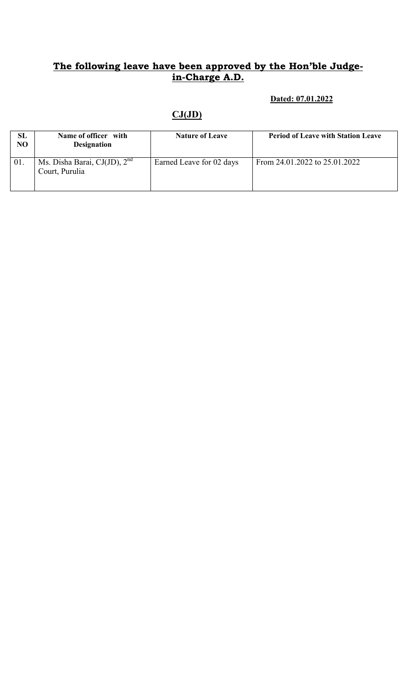#### Dated: 07.01.2022

# $CJ(JD)$

| SL<br>N <sub>O</sub> | Name of officer with<br><b>Designation</b>            | <b>Nature of Leave</b>   | <b>Period of Leave with Station Leave</b> |
|----------------------|-------------------------------------------------------|--------------------------|-------------------------------------------|
| 01.                  | Ms. Disha Barai, CJ $(JJD)$ , $2nd$<br>Court, Purulia | Earned Leave for 02 days | From 24.01.2022 to 25.01.2022             |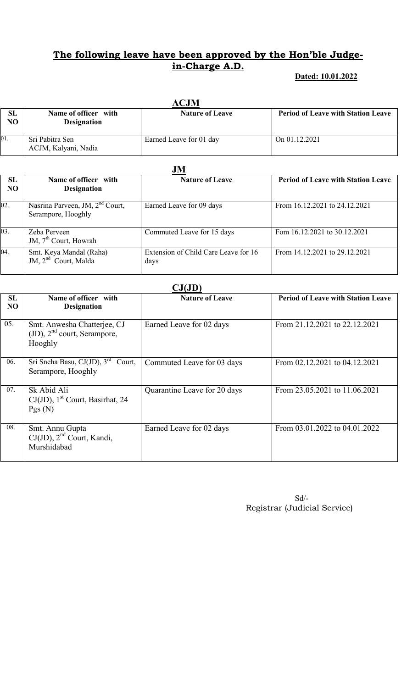#### Dated: 10.01.2022

|          | ACJM                                       |                         |                                           |  |  |
|----------|--------------------------------------------|-------------------------|-------------------------------------------|--|--|
| SL<br>NO | Name of officer with<br><b>Designation</b> | <b>Nature of Leave</b>  | <b>Period of Leave with Station Leave</b> |  |  |
| 01.      | Sri Pabitra Sen<br>ACJM, Kalyani, Nadia    | Earned Leave for 01 day | On 01.12.2021                             |  |  |

|                             | JM                                                                |                                              |                                           |  |
|-----------------------------|-------------------------------------------------------------------|----------------------------------------------|-------------------------------------------|--|
| <b>SL</b><br>N <sub>O</sub> | Name of officer with<br><b>Designation</b>                        | <b>Nature of Leave</b>                       | <b>Period of Leave with Station Leave</b> |  |
| 02.                         | Nasrina Parveen, JM, 2 <sup>nd</sup> Court,<br>Serampore, Hooghly | Earned Leave for 09 days                     | From 16.12.2021 to 24.12.2021             |  |
| 03.                         | Zeba Perveen<br>JM, $7th$ Court, Howrah                           | Commuted Leave for 15 days                   | Fom 16.12.2021 to 30.12.2021              |  |
| 04.                         | Smt. Keya Mandal (Raha)<br>JM, 2 <sup>nd</sup> Court, Malda       | Extension of Child Care Leave for 16<br>days | From 14.12.2021 to 29.12.2021             |  |

| CJ(JD)          |                                                                            |                              |                                           |  |  |  |  |
|-----------------|----------------------------------------------------------------------------|------------------------------|-------------------------------------------|--|--|--|--|
| <b>SL</b><br>NO | Name of officer with<br><b>Designation</b>                                 | <b>Nature of Leave</b>       | <b>Period of Leave with Station Leave</b> |  |  |  |  |
| 05.             | Smt. Anwesha Chatterjee, CJ<br>$(JD)$ , $2nd$ court, Serampore,<br>Hooghly | Earned Leave for 02 days     | From 21.12.2021 to 22.12.2021             |  |  |  |  |
| 06.             | Sri Sneha Basu, CJ(JD), $3^{\text{rd}}$<br>Court,<br>Serampore, Hooghly    | Commuted Leave for 03 days   | From 02.12.2021 to 04.12.2021             |  |  |  |  |
| 07.             | Sk Abid Ali<br>$CJ(JD)$ , 1 <sup>st</sup> Court, Basirhat, 24<br>Pgs(N)    | Quarantine Leave for 20 days | From 23.05.2021 to 11.06.2021             |  |  |  |  |
| 08.             | Smt. Annu Gupta<br>$CJ(JD)$ , $2nd$ Court, Kandi,<br>Murshidabad           | Earned Leave for 02 days     | From 03.01.2022 to 04.01.2022             |  |  |  |  |